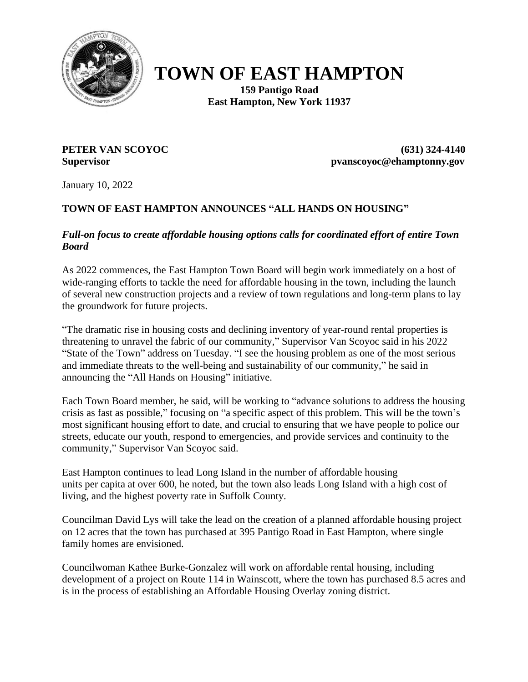

## **TOWN OF EAST HAMPTON**

**159 Pantigo Road East Hampton, New York 11937**

**PETER VAN SCOYOC (631) 324-4140 Supervisor pvanscoyoc@ehamptonny.gov**

January 10, 2022

## **TOWN OF EAST HAMPTON ANNOUNCES "ALL HANDS ON HOUSING"**

*Full-on focus to create affordable housing options calls for coordinated effort of entire Town Board*

As 2022 commences, the East Hampton Town Board will begin work immediately on a host of wide-ranging efforts to tackle the need for affordable housing in the town, including the launch of several new construction projects and a review of town regulations and long-term plans to lay the groundwork for future projects.

"The dramatic rise in housing costs and declining inventory of year-round rental properties is threatening to unravel the fabric of our community," Supervisor Van Scoyoc said in his 2022 "State of the Town" address on Tuesday. "I see the housing problem as one of the most serious and immediate threats to the well-being and sustainability of our community," he said in announcing the "All Hands on Housing" initiative.

Each Town Board member, he said, will be working to "advance solutions to address the housing crisis as fast as possible," focusing on "a specific aspect of this problem. This will be the town's most significant housing effort to date, and crucial to ensuring that we have people to police our streets, educate our youth, respond to emergencies, and provide services and continuity to the community," Supervisor Van Scoyoc said.

East Hampton continues to lead Long Island in the number of affordable housing units per capita at over 600, he noted, but the town also leads Long Island with a high cost of living, and the highest poverty rate in Suffolk County.

Councilman David Lys will take the lead on the creation of a planned affordable housing project on 12 acres that the town has purchased at 395 Pantigo Road in East Hampton, where single family homes are envisioned.

Councilwoman Kathee Burke-Gonzalez will work on affordable rental housing, including development of a project on Route 114 in Wainscott, where the town has purchased 8.5 acres and is in the process of establishing an Affordable Housing Overlay zoning district.